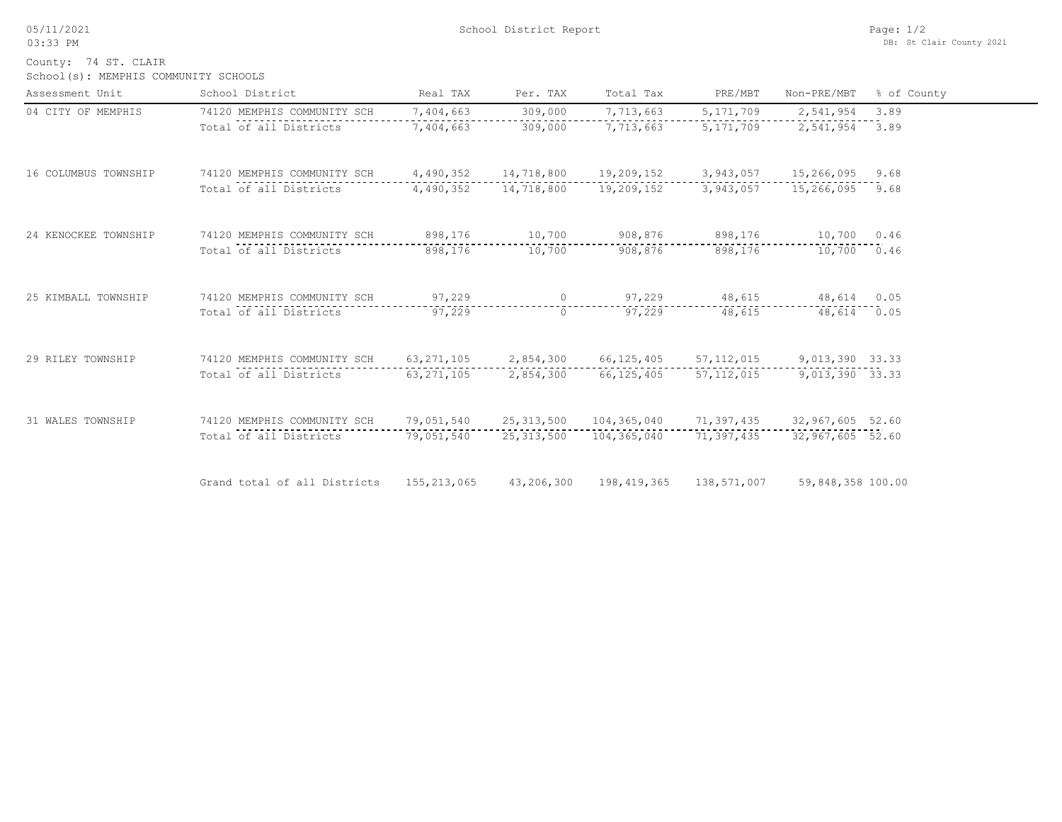05/11/2021 03:33 PM

School(s): MEMPHIS COMMUNITY SCHOOLS County: 74 ST. CLAIR

| Assessment Unit      | School District              | Real TAX     | Per. TAX     | Total Tax    | PRE/MBT      | Non-PRE/MBT       | % of County |
|----------------------|------------------------------|--------------|--------------|--------------|--------------|-------------------|-------------|
| 04 CITY OF MEMPHIS   | 74120 MEMPHIS COMMUNITY SCH  | 7,404,663    | 309,000      | 7,713,663    | 5, 171, 709  | 2,541,954         | 3.89        |
|                      | Total of all Districts       | 7,404,663    | 309,000      | 7,713,663    | 5, 171, 709  | 2,541,954         | 3.89        |
| 16 COLUMBUS TOWNSHIP | 74120 MEMPHIS COMMUNITY SCH  | 4,490,352    | 14,718,800   | 19,209,152   | 3,943,057    | 15,266,095        | 9.68        |
|                      | Total of all Districts       | 4,490,352    | 14,718,800   | 19,209,152   | 3,943,057    | 15,266,095 9.68   |             |
| 24 KENOCKEE TOWNSHIP | 74120 MEMPHIS COMMUNITY SCH  | 898,176      | 10,700       | 908,876      | 898,176      | 10,700 0.46       |             |
|                      | Total of all Districts       | 898,176      | 10,700       | 908,876      | 898,176      | 10,700            | 0.46        |
| 25 KIMBALL TOWNSHIP  | 74120 MEMPHIS COMMUNITY SCH  | 97,229       | $\circ$      | 97,229       | 48,615       | 48,614 0.05       |             |
|                      | Total of all Districts       | 97,229       | $\circ$      | 97,229       | 48,615       | 48,614 0.05       |             |
| 29 RILEY TOWNSHIP    | 74120 MEMPHIS COMMUNITY SCH  | 63, 271, 105 | 2,854,300    | 66, 125, 405 | 57,112,015   | 9,013,390 33.33   |             |
|                      | Total of all Districts       | 63, 271, 105 | 2,854,300    | 66, 125, 405 | 57, 112, 015 | 9,013,390 33.33   |             |
| 31 WALES TOWNSHIP    | 74120 MEMPHIS COMMUNITY SCH  | 79,051,540   | 25, 313, 500 | 104,365,040  | 71,397,435   | 32,967,605 52.60  |             |
|                      | Total of all Districts       | 79,051,540   | 25, 313, 500 | 104,365,040  | 71,397,435   | 32,967,605 52.60  |             |
|                      | Grand total of all Districts | 155,213,065  | 43,206,300   | 198,419,365  | 138,571,007  | 59,848,358 100.00 |             |